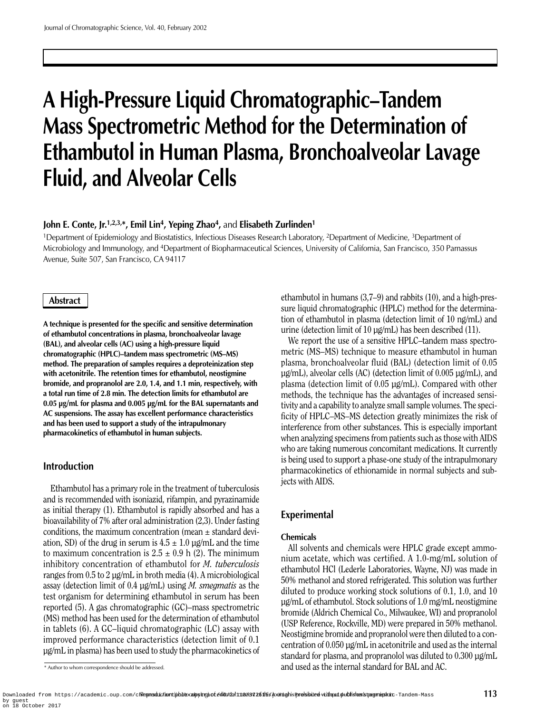# **A High-Pressure Liquid Chromatographic–Tandem Mass Spectrometric Method for the Determination of Ethambutol in Human Plasma, Bronchoalveolar Lavage Fluid, and Alveolar Cells**

## **John E. Conte, Jr.**<sup>1,2,3,\*</sup>, Emil Lin<sup>4</sup>, Yeping Zhao<sup>4</sup>, and Elisabeth Zurlinden<sup>1</sup>

1Department of Epidemiology and Biostatistics, Infectious Diseases Research Laboratory, 2Department of Medicine, 3Department of Microbiology and Immunology, and 4Department of Biopharmaceutical Sciences, University of California, San Francisco, 350 Parnassus Avenue, Suite 507, San Francisco, CA 94117

## **Abstract**

**A technique is presented for the specific and sensitive determination of ethambutol concentrations in plasma, bronchoalveolar lavage (BAL), and alveolar cells (AC) using a high-pressure liquid chromatographic (HPLC)–tandem mass spectrometric (MS–MS) method. The preparation of samples requires a deproteinization step with acetonitrile. The retention times for ethambutol, neostigmine bromide, and propranolol are 2.0, 1.4, and 1.1 min, respectively, with a total run time of 2.8 min. The detection limits for ethambutol are 0.05 µg/mL for plasma and 0.005 µg/mL for the BAL supernatants and AC suspensions. The assay has excellent performance characteristics and has been used to support a study of the intrapulmonary pharmacokinetics of ethambutol in human subjects.**

# **Introduction**

Ethambutol has a primary role in the treatment of tuberculosis and is recommended with isoniazid, rifampin, and pyrazinamide as initial therapy (1). Ethambutol is rapidly absorbed and has a bioavailability of 7% after oral administration (2,3). Under fasting conditions, the maximum concentration (mean  $\pm$  standard deviation, SD) of the drug in serum is  $4.5 \pm 1.0$  µg/mL and the time to maximum concentration is  $2.5 \pm 0.9$  h (2). The minimum inhibitory concentration of ethambutol for *M. tuberculosis* ranges from 0.5 to 2 µg/mL in broth media (4). A microbiological assay (detection limit of 0.4 µg/mL) using *M. smegmatis* as the test organism for determining ethambutol in serum has been reported (5). A gas chromatographic (GC)–mass spectrometric (MS) method has been used for the determination of ethambutol in tablets (6). A GC–liquid chromatographic (LC) assay with improved performance characteristics (detection limit of 0.1 µg/mL in plasma) has been used to study the pharmacokinetics of ethambutol in humans (3,7–9) and rabbits (10), and a high-pressure liquid chromatographic (HPLC) method for the determination of ethambutol in plasma (detection limit of 10 ng/mL) and urine (detection limit of 10 µg/mL) has been described (11).

We report the use of a sensitive HPLC–tandem mass spectrometric (MS–MS) technique to measure ethambutol in human plasma, bronchoalveolar fluid (BAL) (detection limit of 0.05 µg/mL), alveolar cells (AC) (detection limit of 0.005 µg/mL), and plasma (detection limit of 0.05 µg/mL). Compared with other methods, the technique has the advantages of increased sensitivity and a capability to analyze small sample volumes. The specificity of HPLC–MS–MS detection greatly minimizes the risk of interference from other substances. This is especially important when analyzing specimens from patients such as those with AIDS who are taking numerous concomitant medications. It currently is being used to support a phase-one study of the intrapulmonary pharmacokinetics of ethionamide in normal subjects and subjects with AIDS.

# **Experimental**

## **Chemicals**

All solvents and chemicals were HPLC grade except ammonium acetate, which was certified. A 1.0-mg/mL solution of ethambutol HCl (Lederle Laboratories, Wayne, NJ) was made in 50% methanol and stored refrigerated. This solution was further diluted to produce working stock solutions of 0.1, 1.0, and 10 µg/mL of ethambutol. Stock solutions of 1.0 mg/mL neostigmine bromide (Aldrich Chemical Co., Milwaukee, WI) and propranolol (USP Reference, Rockville, MD) were prepared in 50% methanol. Neostigmine bromide and propranolol were then diluted to a concentration of 0.050 µg/mL in acetonitrile and used as the internal standard for plasma, and propranolol was diluted to 0.300 µg/mL and used as the internal standard for BAL and AC.

<sup>\*</sup> Author to whom correspondence should be addressed.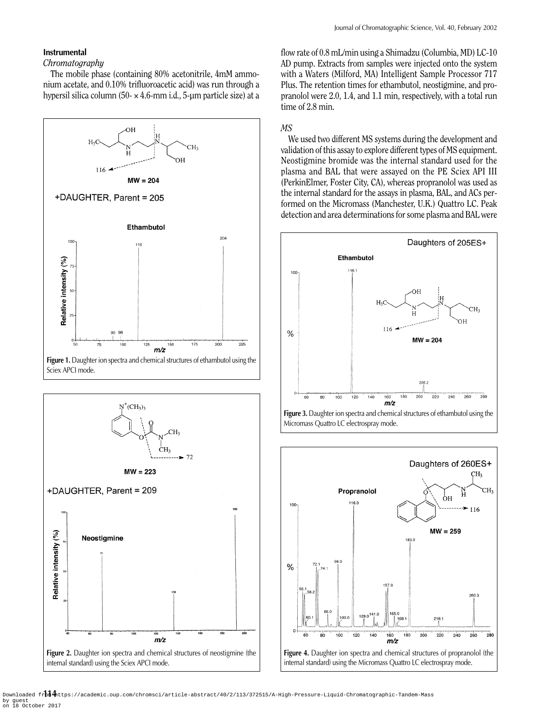#### **Instrumental**

#### *Chromatography*

The mobile phase (containing 80% acetonitrile, 4mM ammonium acetate, and 0.10% trifluoroacetic acid) was run through a hypersil silica column (50- $\times$  4.6-mm i.d., 5-µm particle size) at a





flow rate of 0.8 mL/min using a Shimadzu (Columbia, MD) LC-10 AD pump. Extracts from samples were injected onto the system with a Waters (Milford, MA) Intelligent Sample Processor 717 Plus. The retention times for ethambutol, neostigmine, and propranolol were 2.0, 1.4, and 1.1 min, respectively, with a total run time of 2.8 min.

## *MS*

We used two different MS systems during the development and validation of this assay to explore different types of MS equipment. Neostigmine bromide was the internal standard used for the plasma and BAL that were assayed on the PE Sciex API III (PerkinElmer, Foster City, CA), whereas propranolol was used as the internal standard for the assays in plasma, BAL, and ACs performed on the Micromass (Manchester, U.K.) Quattro LC. Peak detection and area determinations for some plasma and BAL were





Downloaded fr**im A**ntps://academic.oup.com/chromsci/article-abstract/40/2/113/372515/A-High-Pressure-Liquid-Chromatographic-Tandem-Mass by guest on 18 October 2017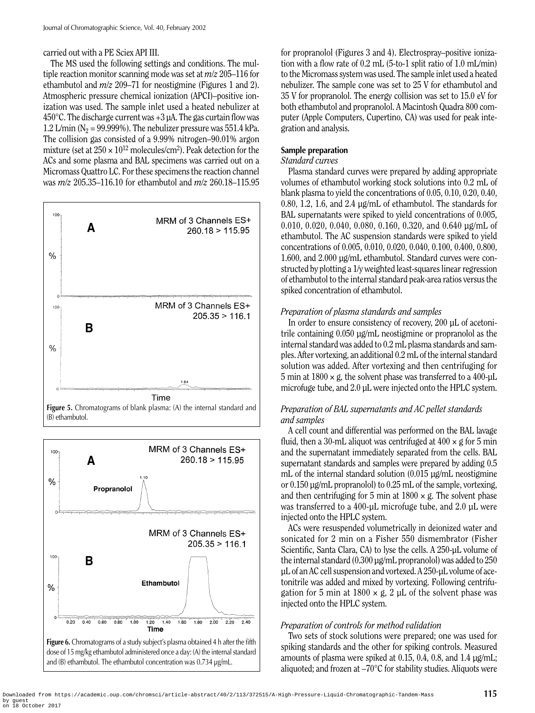## carried out with a PE Sciex API III.

The MS used the following settings and conditions. The multiple reaction monitor scanning mode was set at *m/z* 205–116 for ethambutol and *m/z* 209–71 for neostigmine (Figures 1 and 2). Atmospheric pressure chemical ionization (APCI)–positive ionization was used. The sample inlet used a heated nebulizer at 450 $^{\circ}$ C. The discharge current was +3  $\mu$ A. The gas curtain flow was 1.2 L/min ( $N_2$  = 99.999%). The nebulizer pressure was 551.4 kPa. The collision gas consisted of a 9.99% nitrogen–90.01% argon mixture (set at  $250 \times 10^{12}$  molecules/cm<sup>2</sup>). Peak detection for the ACs and some plasma and BAL specimens was carried out on a Micromass Quattro LC. For these specimens the reaction channel was *m/z* 205.35–116.10 for ethambutol and *m/z* 260.18–115.95





and (B) ethambutol. The ethambutol concentration was 0.734 µg/mL.

for propranolol (Figures 3 and 4). Electrospray–positive ionization with a flow rate of 0.2 mL (5-to-1 split ratio of 1.0 mL/min) to the Micromass system was used. The sample inlet used a heated nebulizer. The sample cone was set to 25 V for ethambutol and 35 V for propranolol. The energy collision was set to 15.0 eV for both ethambutol and propranolol. A Macintosh Quadra 800 computer (Apple Computers, Cupertino, CA) was used for peak integration and analysis.

# **Sample preparation**

## *Standard curves*

Plasma standard curves were prepared by adding appropriate volumes of ethambutol working stock solutions into 0.2 mL of blank plasma to yield the concentrations of 0.05, 0.10, 0.20, 0.40, 0.80, 1.2, 1.6, and 2.4 µg/mL of ethambutol. The standards for BAL supernatants were spiked to yield concentrations of 0.005, 0.010, 0.020, 0.040, 0.080, 0.160, 0.320, and 0.640 µg/mL of ethambutol. The AC suspension standards were spiked to yield concentrations of 0.005, 0.010, 0.020, 0.040, 0.100, 0.400, 0.800, 1.600, and 2.000 µg/mL ethambutol. Standard curves were constructed by plotting a 1/y weighted least-squares linear regression of ethambutol to the internal standard peak-area ratios versus the spiked concentration of ethambutol.

# *Preparation of plasma standards and samples*

In order to ensure consistency of recovery, 200 µL of acetonitrile containing 0.050 µg/mL neostigmine or propranolol as the internal standard was added to 0.2 mL plasma standards and samples. After vortexing, an additional 0.2 mL of the internal standard solution was added. After vortexing and then centrifuging for 5 min at  $1800 \times g$ , the solvent phase was transferred to a 400- $\mu$ L microfuge tube, and 2.0 µL were injected onto the HPLC system.

# *Preparation of BAL supernatants and AC pellet standards and samples*

A cell count and differential was performed on the BAL lavage fluid, then a 30-mL aliquot was centrifuged at  $400 \times g$  for 5 min and the supernatant immediately separated from the cells. BAL supernatant standards and samples were prepared by adding 0.5 mL of the internal standard solution (0.015 µg/mL neostigmine or 0.150 µg/mL propranolol) to 0.25 mL of the sample, vortexing, and then centrifuging for 5 min at  $1800 \times g$ . The solvent phase was transferred to a 400-µL microfuge tube, and 2.0 µL were injected onto the HPLC system.

ACs were resuspended volumetrically in deionized water and sonicated for 2 min on a Fisher 550 dismembrator (Fisher Scientific, Santa Clara, CA) to lyse the cells. A 250-µL volume of the internal standard (0.300 µg/mL propranolol) was added to 250 µL of an AC cell suspension and vortexed. A 250-µL volume of acetonitrile was added and mixed by vortexing. Following centrifugation for 5 min at  $1800 \times g$ , 2 µL of the solvent phase was injected onto the HPLC system.

# *Preparation of controls for method validation*

Two sets of stock solutions were prepared; one was used for spiking standards and the other for spiking controls. Measured amounts of plasma were spiked at 0.15, 0.4, 0.8, and 1.4 µg/mL; aliquoted; and frozen at –70°C for stability studies. Aliquots were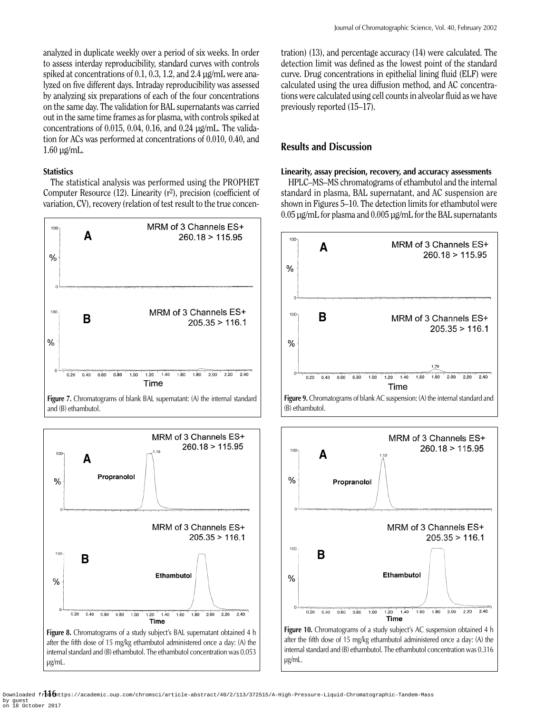analyzed in duplicate weekly over a period of six weeks. In order to assess interday reproducibility, standard curves with controls spiked at concentrations of 0.1, 0.3, 1.2, and 2.4 µg/mL were analyzed on five different days. Intraday reproducibility was assessed by analyzing six preparations of each of the four concentrations on the same day. The validation for BAL supernatants was carried out in the same time frames as for plasma, with controls spiked at concentrations of 0.015, 0.04, 0.16, and 0.24 µg/mL. The validation for ACs was performed at concentrations of 0.010, 0.40, and  $1.60 \mu$ g/mL.

#### **Statistics**

The statistical analysis was performed using the PROPHET Computer Resource  $(12)$ . Linearity  $(r^2)$ , precision (coefficient of variation, CV), recovery (relation of test result to the true concen-



**Figure 7.** Chromatograms of blank BAL supernatant: (A) the internal standard and (B) ethambutol.



tration) (13), and percentage accuracy (14) were calculated. The detection limit was defined as the lowest point of the standard curve. Drug concentrations in epithelial lining fluid (ELF) were calculated using the urea diffusion method, and AC concentrations were calculated using cell counts in alveolar fluid as we have previously reported (15–17).

# **Results and Discussion**

#### **Linearity, assay precision, recovery, and accuracy assessments**

HPLC–MS–MS chromatograms of ethambutol and the internal standard in plasma, BAL supernatant, and AC suspension are shown in Figures 5–10. The detection limits for ethambutol were 0.05 µg/mL for plasma and 0.005 µg/mL for the BAL supernatants



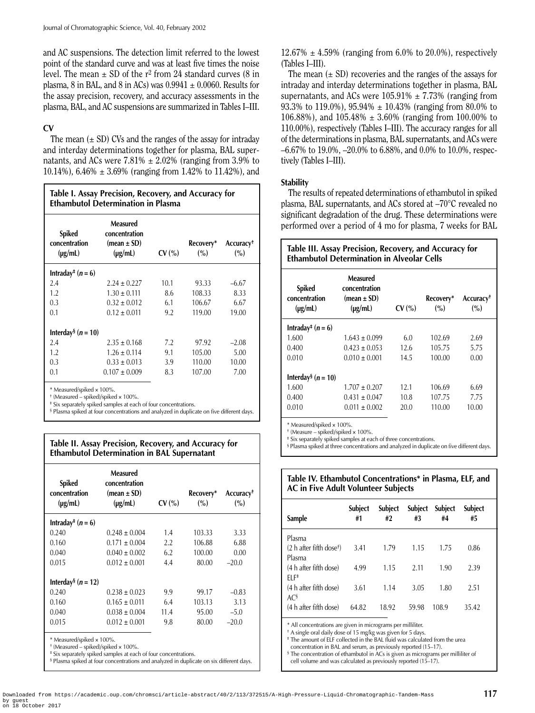and AC suspensions. The detection limit referred to the lowest point of the standard curve and was at least five times the noise level. The mean  $\pm$  SD of the r<sup>2</sup> from 24 standard curves (8 in plasma, 8 in BAL, and 8 in ACs) was  $0.9941 \pm 0.0060$ . Results for the assay precision, recovery, and accuracy assessments in the plasma, BAL, and AC suspensions are summarized in Tables I–III.

# **CV**

The mean  $(\pm SD)$  CVs and the ranges of the assay for intraday and interday determinations together for plasma, BAL supernatants, and ACs were  $7.81\% \pm 2.02\%$  (ranging from 3.9% to 10.14%), 6.46%  $\pm$  3.69% (ranging from 1.42% to 11.42%), and

| Table I. Assay Precision, Recovery, and Accuracy for<br><b>Ethambutol Determination in Plasma</b> |                                                              |       |                     |                                 |  |
|---------------------------------------------------------------------------------------------------|--------------------------------------------------------------|-------|---------------------|---------------------------------|--|
| Spiked<br>concentration<br>$(\mu g/mL)$                                                           | Measured<br>concentration<br>$(mean \pm SD)$<br>$(\mu g/mL)$ | CV(%) | Recovery*<br>$($ %) | Accuracy <sup>+</sup><br>$($ %) |  |
| Intraday <sup>‡</sup> $(n = 6)$                                                                   |                                                              |       |                     |                                 |  |
| 2.4                                                                                               | $2.24 \pm 0.227$                                             | 10.1  | 93.33               | $-6.67$                         |  |
| 1.2                                                                                               | $1.30 \pm 0.111$                                             | 8.6   | 108.33              | 8.33                            |  |
| 0.3                                                                                               | $0.32 \pm 0.012$                                             | 6.1   | 106.67              | 6.67                            |  |
| 0.1                                                                                               | $0.12 \pm 0.011$                                             | 9.2   | 119.00              | 19.00                           |  |
| Interday <sup>§</sup> ( <i>n</i> = 10)                                                            |                                                              |       |                     |                                 |  |
| 2.4                                                                                               | $2.35 \pm 0.168$                                             | 7.2   | 97.92               | $-2.08$                         |  |
| 1.2                                                                                               | $1.26 \pm 0.114$                                             | 9.1   | 105.00              | 5.00                            |  |
| 0.3                                                                                               | $0.33 \pm 0.013$                                             | 3.9   | 110.00              | 10.00                           |  |
| 0.1                                                                                               | $0.107 \pm 0.009$                                            | 8.3   | 107.00              | 7.00                            |  |
| $*$ Monsured/spiked $\times$ 100%                                                                 |                                                              |       |                     |                                 |  |

\* Measured/spiked × 100%.

† (Measured – spiked)/spiked × 100%. ‡ Six separately spiked samples at each of four concentrations.

§ Plasma spiked at four concentrations and analyzed in duplicate on five different days.

## **Table II. Assay Precision, Recovery, and Accuracy for Ethambutol Determination in BAL Supernatant**

| Intraday <sup>‡</sup> $(n = 6)$<br>0.240<br>103.33<br>$0.248 \pm 0.004$<br>1.4<br>3.33<br>0.160<br>106.88 | Measured<br>concentration<br>$(mean \pm SD)$<br>Recovery*<br>$(\mu g/mL)$<br>CV(%)<br>$($ %) | Accuracy <sup>+</sup><br>(%) |
|-----------------------------------------------------------------------------------------------------------|----------------------------------------------------------------------------------------------|------------------------------|
|                                                                                                           |                                                                                              |                              |
|                                                                                                           |                                                                                              |                              |
|                                                                                                           | $0.171 + 0.004$<br>2.2                                                                       | 6.88                         |
| 6.2<br>0.040<br>100.00<br>$0.040 \pm 0.002$<br>0.00                                                       |                                                                                              |                              |
| 0.015<br>$0.012 \pm 0.001$<br>4.4<br>80.00<br>$-20.0$                                                     |                                                                                              |                              |
| Interday <sup>§</sup> ( <i>n</i> = 12)                                                                    |                                                                                              |                              |
| 0.240<br>$0.238 \pm 0.023$<br>9.9<br>99.17<br>$-0.83$                                                     |                                                                                              |                              |
| 0.160<br>103.13<br>3.13<br>$0.165 \pm 0.011$<br>6.4                                                       |                                                                                              |                              |
| 0.040<br>$0.038 \pm 0.004$<br>11.4<br>95.00<br>$-5.0$                                                     |                                                                                              |                              |
| 0.015<br>$0.012 \pm 0.001$<br>9.8<br>80.00<br>$-20.0$                                                     |                                                                                              |                              |

\* Measured/spiked × 100%.

‡ Six separately spiked samples at each of four concentrations.

§ Plasma spiked at four concentrations and analyzed in duplicate on six different days.

 $12.67\% \pm 4.59\%$  (ranging from 6.0% to 20.0%), respectively (Tables I–III).

The mean  $(\pm SD)$  recoveries and the ranges of the assays for intraday and interday determinations together in plasma, BAL supernatants, and ACs were  $105.91\% \pm 7.73\%$  (ranging from 93.3% to 119.0%), 95.94%  $\pm$  10.43% (ranging from 80.0% to 106.88%), and 105.48%  $\pm$  3.60% (ranging from 100.00% to 110.00%), respectively (Tables I–III). The accuracy ranges for all of the determinations in plasma, BAL supernatants, and ACs were –6.67% to 19.0%, –20.0% to 6.88%, and 0.0% to 10.0%, respectively (Tables I–III).

# **Stability**

The results of repeated determinations of ethambutol in spiked plasma, BAL supernatants, and ACs stored at –70°C revealed no significant degradation of the drug. These determinations were performed over a period of 4 mo for plasma, 7 weeks for BAL

| Table III. Assay Precision, Recovery, and Accuracy for<br><b>Ethambutol Determination in Alveolar Cells</b> |                                                              |       |                     |                              |  |
|-------------------------------------------------------------------------------------------------------------|--------------------------------------------------------------|-------|---------------------|------------------------------|--|
| <b>Spiked</b><br>concentration<br>$(\mu g/mL)$                                                              | Measured<br>concentration<br>$(mean \pm SD)$<br>$(\mu g/mL)$ | CV(%) | Recovery*<br>$($ %) | Accuracy <sup>†</sup><br>(%) |  |
| Intraday <sup>‡</sup> $(n = 6)$                                                                             |                                                              |       |                     |                              |  |
| 1.600                                                                                                       | $1.643 \pm 0.099$                                            | 6.0   | 102.69              | 2.69                         |  |
| 0.400                                                                                                       | $0.423 \pm 0.053$                                            | 12.6  | 105.75              | 5.75                         |  |
| 0.010                                                                                                       | $0.010 \pm 0.001$                                            | 14.5  | 100.00              | 0.00                         |  |
| Interday <sup>§</sup> ( <i>n</i> = 10)                                                                      |                                                              |       |                     |                              |  |
| 1.600                                                                                                       | $1.707 \pm 0.207$                                            | 12.1  | 106.69              | 6.69                         |  |
| 0.400                                                                                                       | $0.431 \pm 0.047$                                            | 10.8  | 107.75              | 7.75                         |  |
| 0.010                                                                                                       | $0.011 \pm 0.002$                                            | 20.0  | 110.00              | 10.00                        |  |

Measured/spiked × 100%.

† (Measure – spiked)/spiked × 100%.

‡ Six separately spiked samples at each of three concentrations.

§ Plasma spiked at three concentrations and analyzed in duplicate on five different days.

# **Table IV. Ethambutol Concentrations\* in Plasma, ELF, and AC in Five Adult Volunteer Subjects**

| <b>Sample</b>                           | <b>Subject</b><br>#1 | Subject<br>#2 | Subject<br>#3 | <b>Subject</b><br>#4 | <b>Subject</b><br>#5 |  |
|-----------------------------------------|----------------------|---------------|---------------|----------------------|----------------------|--|
| Plasma                                  |                      |               |               |                      |                      |  |
| $(2)$ h after fifth dose <sup>+</sup> ) | 3.41                 | 1.79          | 1.15          | 1.75                 | 0.86                 |  |
| Plasma                                  |                      |               |               |                      |                      |  |
| (4 h after fifth dose)                  | 4.99                 | 1.15          | 2.11          | 1.90                 | 2.39                 |  |
| FI F‡<br>(4 h after fifth dose)         | 3.61                 | 1.14          | 3.05          | 1.80                 | 2.51                 |  |
| AC <sup>§</sup>                         |                      |               |               |                      |                      |  |
| (4 h after fifth dose)                  | 64.82                | 18.92         | 59.98         | 108.9                | 35.42                |  |
|                                         |                      |               |               |                      |                      |  |

\* All concentrations are given in micrograms per milliliter.

† A single oral daily dose of 15 mg/kg was given for 5 days.

‡ The amount of ELF collected in the BAL fluid was calculated from the urea

concentration in BAL and serum, as previously reported (15–17). § The concentration of ethambutol in ACs is given as micrograms per milliliter of

cell volume and was calculated as previously reported (15–17).

<sup>†</sup> (Measured – spiked)/spiked × 100%.